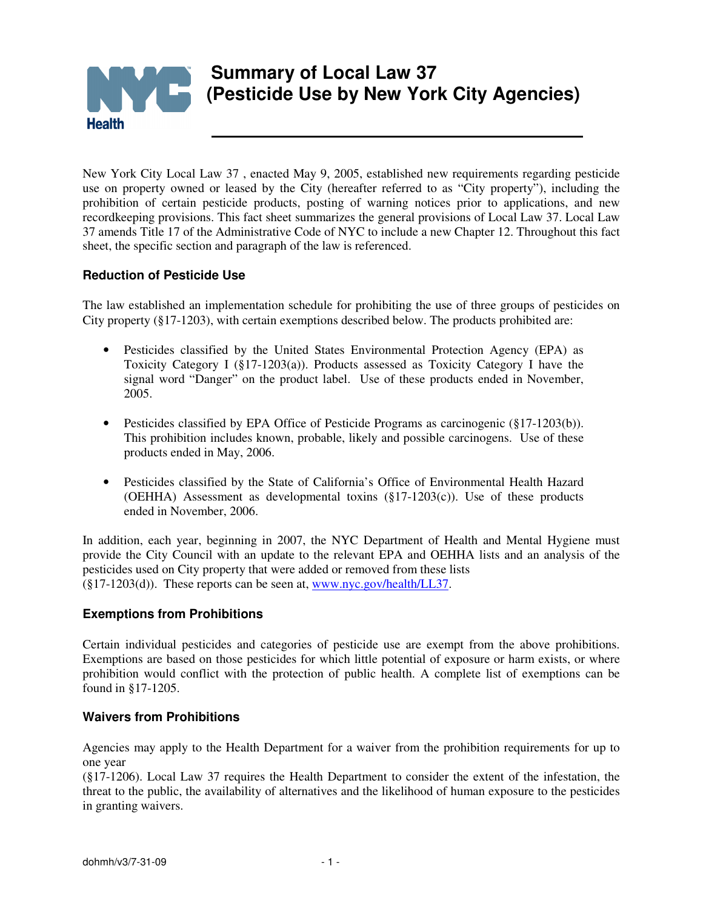

New York City Local Law 37 , enacted May 9, 2005, established new requirements regarding pesticide use on property owned or leased by the City (hereafter referred to as "City property"), including the prohibition of certain pesticide products, posting of warning notices prior to applications, and new recordkeeping provisions. This fact sheet summarizes the general provisions of Local Law 37. Local Law 37 amends Title 17 of the Administrative Code of NYC to include a new Chapter 12. Throughout this fact sheet, the specific section and paragraph of the law is referenced.

# **Reduction of Pesticide Use**

The law established an implementation schedule for prohibiting the use of three groups of pesticides on City property (§17-1203), with certain exemptions described below. The products prohibited are:

- Pesticides classified by the United States Environmental Protection Agency (EPA) as Toxicity Category I (§17-1203(a)). Products assessed as Toxicity Category I have the signal word "Danger" on the product label. Use of these products ended in November, 2005.
- Pesticides classified by EPA Office of Pesticide Programs as carcinogenic (§17-1203(b)). This prohibition includes known, probable, likely and possible carcinogens. Use of these products ended in May, 2006.
- Pesticides classified by the State of California's Office of Environmental Health Hazard (OEHHA) Assessment as developmental toxins (§17-1203(c)). Use of these products ended in November, 2006.

In addition, each year, beginning in 2007, the NYC Department of Health and Mental Hygiene must provide the City Council with an update to the relevant EPA and OEHHA lists and an analysis of the pesticides used on City property that were added or removed from these lists  $(\S17-1203(d))$ . These reports can be seen at, www.nyc.gov/health/LL37.

## **Exemptions from Prohibitions**

Certain individual pesticides and categories of pesticide use are exempt from the above prohibitions. Exemptions are based on those pesticides for which little potential of exposure or harm exists, or where prohibition would conflict with the protection of public health. A complete list of exemptions can be found in §17-1205.

## **Waivers from Prohibitions**

Agencies may apply to the Health Department for a waiver from the prohibition requirements for up to one year

(§17-1206). Local Law 37 requires the Health Department to consider the extent of the infestation, the threat to the public, the availability of alternatives and the likelihood of human exposure to the pesticides in granting waivers.